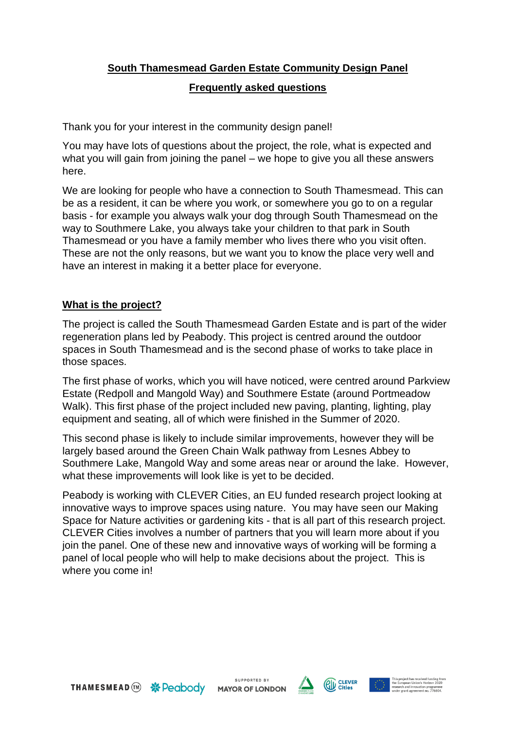# **South Thamesmead Garden Estate Community Design Panel**

### **Frequently asked questions**

Thank you for your interest in the community design panel!

You may have lots of questions about the project, the role, what is expected and what you will gain from joining the panel – we hope to give you all these answers here.

We are looking for people who have a connection to South Thamesmead. This can be as a resident, it can be where you work, or somewhere you go to on a regular basis - for example you always walk your dog through South Thamesmead on the way to Southmere Lake, you always take your children to that park in South Thamesmead or you have a family member who lives there who you visit often. These are not the only reasons, but we want you to know the place very well and have an interest in making it a better place for everyone.

# **What is the project?**

The project is called the South Thamesmead Garden Estate and is part of the wider regeneration plans led by Peabody. This project is centred around the outdoor spaces in South Thamesmead and is the second phase of works to take place in those spaces.

The first phase of works, which you will have noticed, were centred around Parkview Estate (Redpoll and Mangold Way) and Southmere Estate (around Portmeadow Walk). This first phase of the project included new paving, planting, lighting, play equipment and seating, all of which were finished in the Summer of 2020.

This second phase is likely to include similar improvements, however they will be largely based around the Green Chain Walk pathway from Lesnes Abbey to Southmere Lake, Mangold Way and some areas near or around the lake. However, what these improvements will look like is yet to be decided.

Peabody is working with CLEVER Cities, an EU funded research project looking at innovative ways to improve spaces using nature. You may have seen our Making Space for Nature activities or gardening kits - that is all part of this research project. CLEVER Cities involves a number of partners that you will learn more about if you join the panel. One of these new and innovative ways of working will be forming a panel of local people who will help to make decisions about the project. This is where you come in!

SUPPORTED BY **MAYOR OF LONDON** 



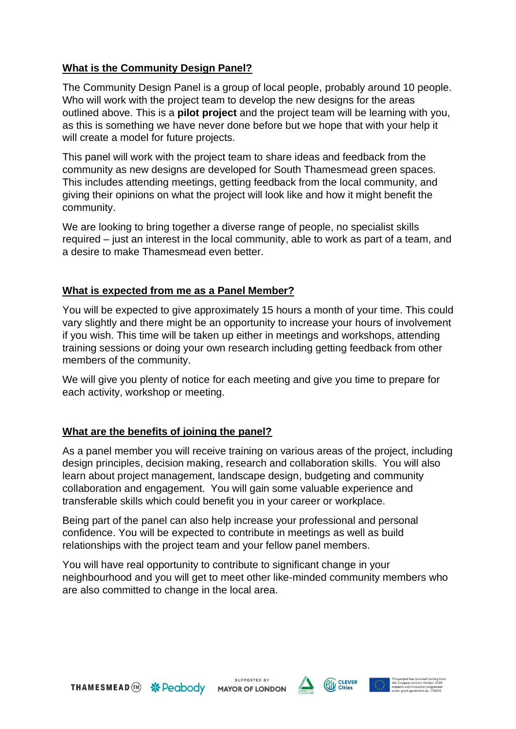# **What is the Community Design Panel?**

The Community Design Panel is a group of local people, probably around 10 people. Who will work with the project team to develop the new designs for the areas outlined above. This is a **pilot project** and the project team will be learning with you, as this is something we have never done before but we hope that with your help it will create a model for future projects.

This panel will work with the project team to share ideas and feedback from the community as new designs are developed for South Thamesmead green spaces. This includes attending meetings, getting feedback from the local community, and giving their opinions on what the project will look like and how it might benefit the community.

We are looking to bring together a diverse range of people, no specialist skills required – just an interest in the local community, able to work as part of a team, and a desire to make Thamesmead even better.

# **What is expected from me as a Panel Member?**

You will be expected to give approximately 15 hours a month of your time. This could vary slightly and there might be an opportunity to increase your hours of involvement if you wish. This time will be taken up either in meetings and workshops, attending training sessions or doing your own research including getting feedback from other members of the community.

We will give you plenty of notice for each meeting and give you time to prepare for each activity, workshop or meeting.

#### **What are the benefits of joining the panel?**

As a panel member you will receive training on various areas of the project, including design principles, decision making, research and collaboration skills. You will also learn about project management, landscape design, budgeting and community collaboration and engagement. You will gain some valuable experience and transferable skills which could benefit you in your career or workplace.

Being part of the panel can also help increase your professional and personal confidence. You will be expected to contribute in meetings as well as build relationships with the project team and your fellow panel members.

You will have real opportunity to contribute to significant change in your neighbourhood and you will get to meet other like-minded community members who are also committed to change in the local area.

SUPPORTED BY **MAYOR OF LONDON**